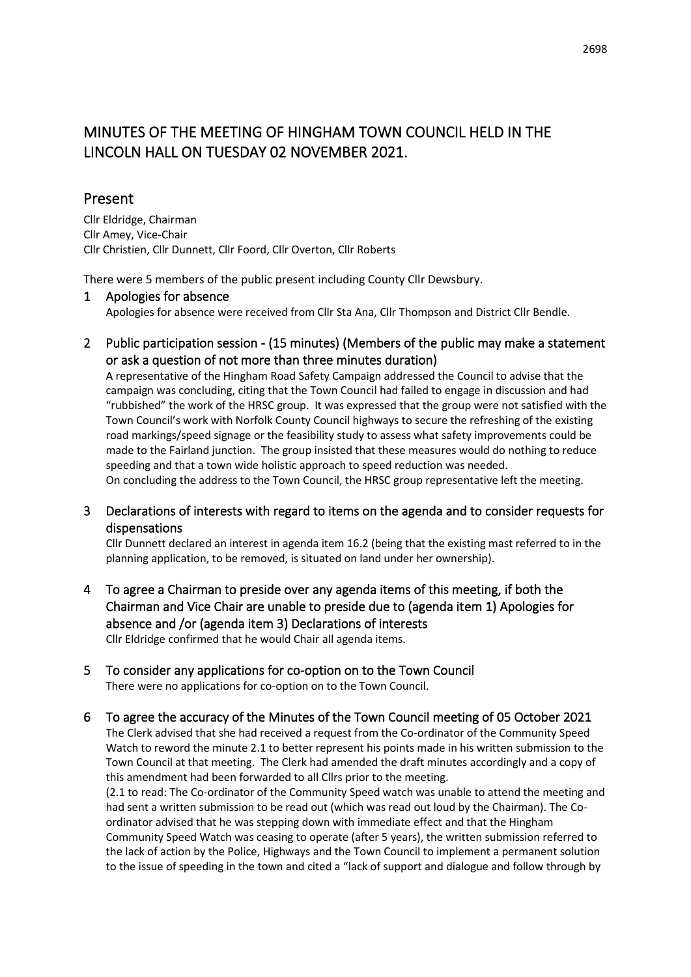# MINUTES OF THE MEETING OF HINGHAM TOWN COUNCIL HELD IN THE LINCOLN HALL ON TUESDAY 02 NOVEMBER 2021.

## Present

Cllr Eldridge, Chairman Cllr Amey, Vice-Chair Cllr Christien, Cllr Dunnett, Cllr Foord, Cllr Overton, Cllr Roberts

There were 5 members of the public present including County Cllr Dewsbury.

#### 1 Apologies for absence

Apologies for absence were received from Cllr Sta Ana, Cllr Thompson and District Cllr Bendle.

2 Public participation session - (15 minutes) (Members of the public may make a statement or ask a question of not more than three minutes duration)

A representative of the Hingham Road Safety Campaign addressed the Council to advise that the campaign was concluding, citing that the Town Council had failed to engage in discussion and had "rubbished" the work of the HRSC group. It was expressed that the group were not satisfied with the Town Council's work with Norfolk County Council highways to secure the refreshing of the existing road markings/speed signage or the feasibility study to assess what safety improvements could be made to the Fairland junction. The group insisted that these measures would do nothing to reduce speeding and that a town wide holistic approach to speed reduction was needed. On concluding the address to the Town Council, the HRSC group representative left the meeting.

3 Declarations of interests with regard to items on the agenda and to consider requests for dispensations

Cllr Dunnett declared an interest in agenda item 16.2 (being that the existing mast referred to in the planning application, to be removed, is situated on land under her ownership).

- 4 To agree a Chairman to preside over any agenda items of this meeting, if both the Chairman and Vice Chair are unable to preside due to (agenda item 1) Apologies for absence and /or (agenda item 3) Declarations of interests Cllr Eldridge confirmed that he would Chair all agenda items.
- 5 To consider any applications for co-option on to the Town Council There were no applications for co-option on to the Town Council.
- 6 To agree the accuracy of the Minutes of the Town Council meeting of 05 October 2021 The Clerk advised that she had received a request from the Co-ordinator of the Community Speed Watch to reword the minute 2.1 to better represent his points made in his written submission to the Town Council at that meeting. The Clerk had amended the draft minutes accordingly and a copy of this amendment had been forwarded to all Cllrs prior to the meeting.

(2.1 to read: The Co-ordinator of the Community Speed watch was unable to attend the meeting and had sent a written submission to be read out (which was read out loud by the Chairman). The Coordinator advised that he was stepping down with immediate effect and that the Hingham Community Speed Watch was ceasing to operate (after 5 years), the written submission referred to the lack of action by the Police, Highways and the Town Council to implement a permanent solution to the issue of speeding in the town and cited a "lack of support and dialogue and follow through by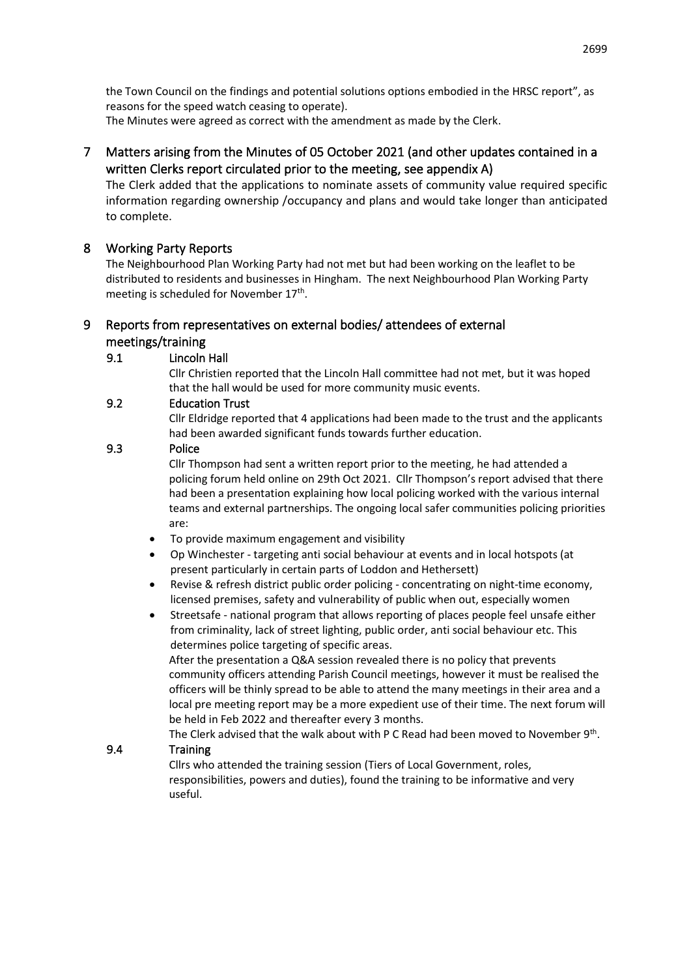the Town Council on the findings and potential solutions options embodied in the HRSC report", as reasons for the speed watch ceasing to operate). The Minutes were agreed as correct with the amendment as made by the Clerk.

## 7 Matters arising from the Minutes of 05 October 2021 (and other updates contained in a written Clerks report circulated prior to the meeting, see appendix A)

The Clerk added that the applications to nominate assets of community value required specific information regarding ownership /occupancy and plans and would take longer than anticipated to complete.

## 8 Working Party Reports

The Neighbourhood Plan Working Party had not met but had been working on the leaflet to be distributed to residents and businesses in Hingham. The next Neighbourhood Plan Working Party meeting is scheduled for November 17<sup>th</sup>.

## 9 Reports from representatives on external bodies/ attendees of external meetings/training

#### 9.1 Lincoln Hall

Cllr Christien reported that the Lincoln Hall committee had not met, but it was hoped that the hall would be used for more community music events.

### 9.2 Education Trust

Cllr Eldridge reported that 4 applications had been made to the trust and the applicants had been awarded significant funds towards further education.

#### 9.3 Police

Cllr Thompson had sent a written report prior to the meeting, he had attended a policing forum held online on 29th Oct 2021. Cllr Thompson's report advised that there had been a presentation explaining how local policing worked with the various internal teams and external partnerships. The ongoing local safer communities policing priorities are:

- To provide maximum engagement and visibility
- Op Winchester targeting anti social behaviour at events and in local hotspots (at present particularly in certain parts of Loddon and Hethersett)
- Revise & refresh district public order policing concentrating on night-time economy, licensed premises, safety and vulnerability of public when out, especially women
- Streetsafe national program that allows reporting of places people feel unsafe either from criminality, lack of street lighting, public order, anti social behaviour etc. This determines police targeting of specific areas.

After the presentation a Q&A session revealed there is no policy that prevents community officers attending Parish Council meetings, however it must be realised the officers will be thinly spread to be able to attend the many meetings in their area and a local pre meeting report may be a more expedient use of their time. The next forum will be held in Feb 2022 and thereafter every 3 months.

The Clerk advised that the walk about with P C Read had been moved to November 9<sup>th</sup>.

## 9.4 Training

Cllrs who attended the training session (Tiers of Local Government, roles, responsibilities, powers and duties), found the training to be informative and very useful.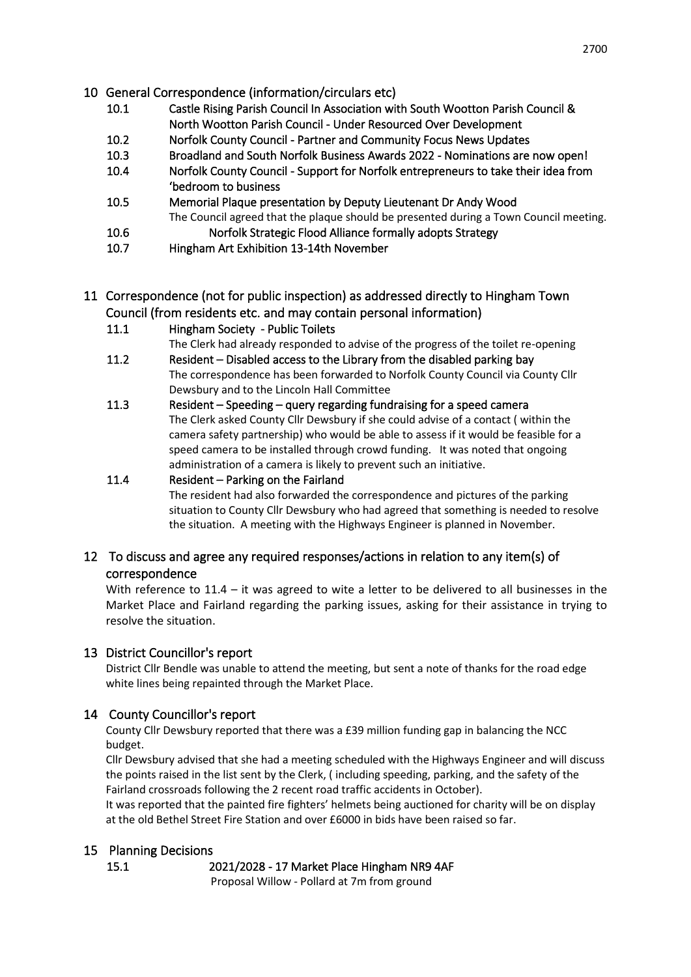- 10 General Correspondence (information/circulars etc)
	- 10.1 Castle Rising Parish Council In Association with South Wootton Parish Council & North Wootton Parish Council - Under Resourced Over Development
	- 10.2 Norfolk County Council Partner and Community Focus News Updates
	- 10.3 Broadland and South Norfolk Business Awards 2022 Nominations are now open!
	- 10.4 Norfolk County Council Support for Norfolk entrepreneurs to take their idea from 'bedroom to business
	- 10.5 Memorial Plaque presentation by Deputy Lieutenant Dr Andy Wood The Council agreed that the plaque should be presented during a Town Council meeting. 10.6 Norfolk Strategic Flood Alliance formally adopts Strategy
	- 10.7 Hingham Art Exhibition 13-14th November

## 11 Correspondence (not for public inspection) as addressed directly to Hingham Town Council (from residents etc. and may contain personal information)

11.1 Hingham Society - Public Toilets

The Clerk had already responded to advise of the progress of the toilet re-opening

- 11.2 Resident Disabled access to the Library from the disabled parking bay The correspondence has been forwarded to Norfolk County Council via County Cllr Dewsbury and to the Lincoln Hall Committee
- 11.3 Resident Speeding query regarding fundraising for a speed camera The Clerk asked County Cllr Dewsbury if she could advise of a contact ( within the camera safety partnership) who would be able to assess if it would be feasible for a speed camera to be installed through crowd funding. It was noted that ongoing administration of a camera is likely to prevent such an initiative.

## 11.4 Resident – Parking on the Fairland

The resident had also forwarded the correspondence and pictures of the parking situation to County Cllr Dewsbury who had agreed that something is needed to resolve the situation. A meeting with the Highways Engineer is planned in November.

## 12 To discuss and agree any required responses/actions in relation to any item(s) of correspondence

With reference to  $11.4 - it$  was agreed to wite a letter to be delivered to all businesses in the Market Place and Fairland regarding the parking issues, asking for their assistance in trying to resolve the situation.

## 13 District Councillor's report

District Cllr Bendle was unable to attend the meeting, but sent a note of thanks for the road edge white lines being repainted through the Market Place.

## 14 County Councillor's report

County Cllr Dewsbury reported that there was a £39 million funding gap in balancing the NCC budget.

Cllr Dewsbury advised that she had a meeting scheduled with the Highways Engineer and will discuss the points raised in the list sent by the Clerk, ( including speeding, parking, and the safety of the Fairland crossroads following the 2 recent road traffic accidents in October).

It was reported that the painted fire fighters' helmets being auctioned for charity will be on display at the old Bethel Street Fire Station and over £6000 in bids have been raised so far.

#### 15 Planning Decisions

15.1 2021/2028 - 17 Market Place Hingham NR9 4AF

Proposal Willow - Pollard at 7m from ground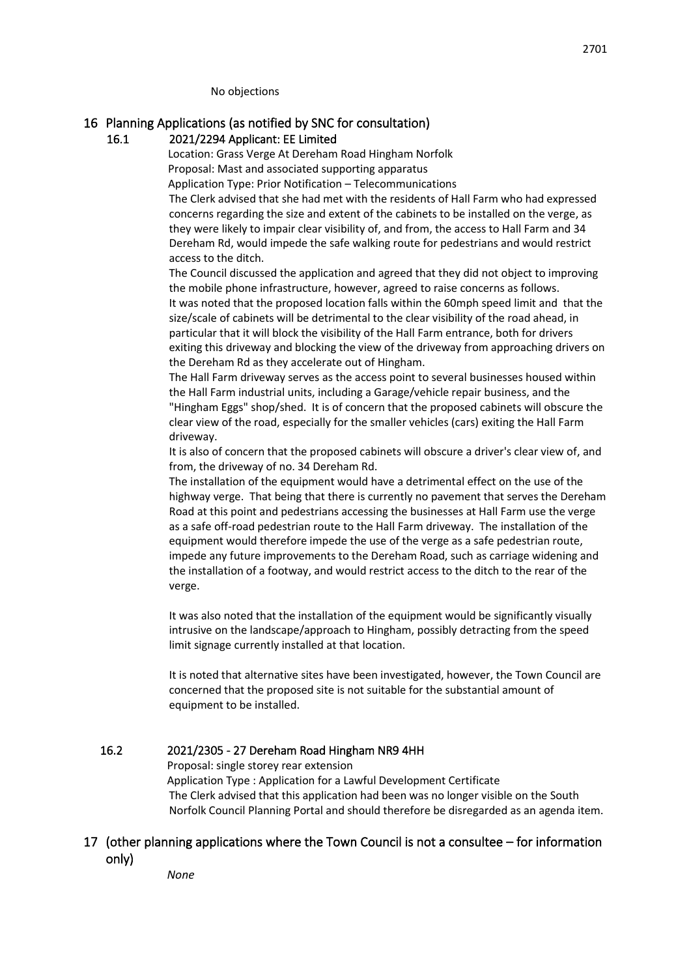No objections

## 16 Planning Applications (as notified by SNC for consultation)

### 16.1 2021/2294 Applicant: EE Limited

Location: Grass Verge At Dereham Road Hingham Norfolk Proposal: Mast and associated supporting apparatus

Application Type: Prior Notification – Telecommunications

The Clerk advised that she had met with the residents of Hall Farm who had expressed concerns regarding the size and extent of the cabinets to be installed on the verge, as they were likely to impair clear visibility of, and from, the access to Hall Farm and 34 Dereham Rd, would impede the safe walking route for pedestrians and would restrict access to the ditch.

The Council discussed the application and agreed that they did not object to improving the mobile phone infrastructure, however, agreed to raise concerns as follows. It was noted that the proposed location falls within the 60mph speed limit and that the size/scale of cabinets will be detrimental to the clear visibility of the road ahead, in particular that it will block the visibility of the Hall Farm entrance, both for drivers exiting this driveway and blocking the view of the driveway from approaching drivers on the Dereham Rd as they accelerate out of Hingham.

The Hall Farm driveway serves as the access point to several businesses housed within the Hall Farm industrial units, including a Garage/vehicle repair business, and the "Hingham Eggs" shop/shed. It is of concern that the proposed cabinets will obscure the clear view of the road, especially for the smaller vehicles (cars) exiting the Hall Farm driveway.

It is also of concern that the proposed cabinets will obscure a driver's clear view of, and from, the driveway of no. 34 Dereham Rd.

The installation of the equipment would have a detrimental effect on the use of the highway verge. That being that there is currently no pavement that serves the Dereham Road at this point and pedestrians accessing the businesses at Hall Farm use the verge as a safe off-road pedestrian route to the Hall Farm driveway. The installation of the equipment would therefore impede the use of the verge as a safe pedestrian route, impede any future improvements to the Dereham Road, such as carriage widening and the installation of a footway, and would restrict access to the ditch to the rear of the verge.

It was also noted that the installation of the equipment would be significantly visually intrusive on the landscape/approach to Hingham, possibly detracting from the speed limit signage currently installed at that location.

It is noted that alternative sites have been investigated, however, the Town Council are concerned that the proposed site is not suitable for the substantial amount of equipment to be installed.

## 16.2 2021/2305 - 27 Dereham Road Hingham NR9 4HH

Proposal: single storey rear extension

Application Type : Application for a Lawful Development Certificate The Clerk advised that this application had been was no longer visible on the South Norfolk Council Planning Portal and should therefore be disregarded as an agenda item.

#### 17 (other planning applications where the Town Council is not a consultee – for information only)

*None*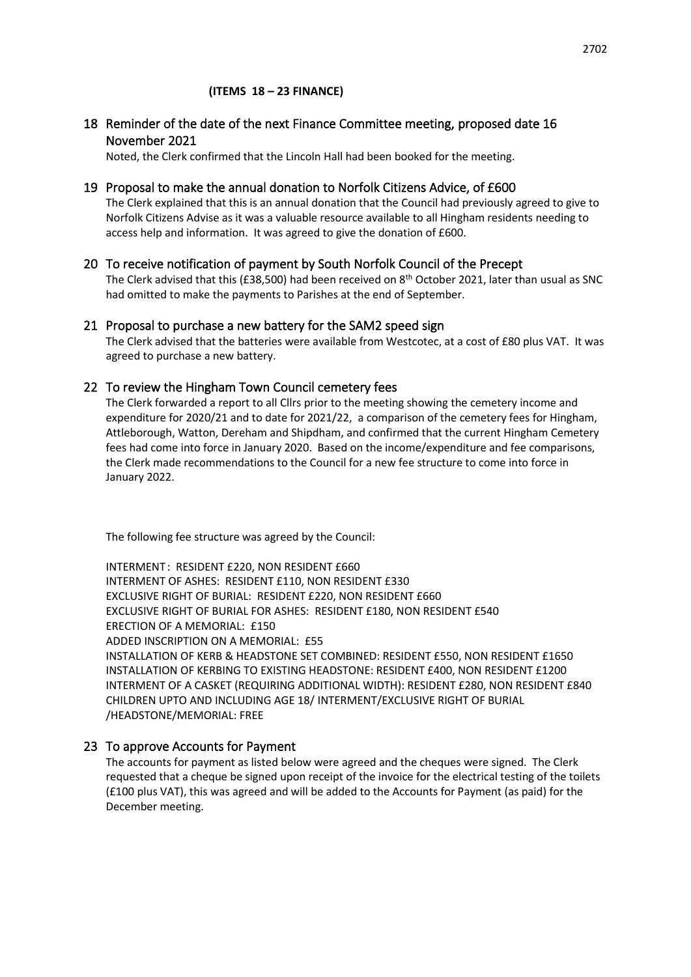#### 18 Reminder of the date of the next Finance Committee meeting, proposed date 16 November 2021

Noted, the Clerk confirmed that the Lincoln Hall had been booked for the meeting.

#### 19 Proposal to make the annual donation to Norfolk Citizens Advice, of £600

The Clerk explained that this is an annual donation that the Council had previously agreed to give to Norfolk Citizens Advise as it was a valuable resource available to all Hingham residents needing to access help and information. It was agreed to give the donation of £600.

#### 20 To receive notification of payment by South Norfolk Council of the Precept

The Clerk advised that this (£38,500) had been received on 8<sup>th</sup> October 2021, later than usual as SNC had omitted to make the payments to Parishes at the end of September.

#### 21 Proposal to purchase a new battery for the SAM2 speed sign

The Clerk advised that the batteries were available from Westcotec, at a cost of £80 plus VAT. It was agreed to purchase a new battery.

#### 22 To review the Hingham Town Council cemetery fees

The Clerk forwarded a report to all Cllrs prior to the meeting showing the cemetery income and expenditure for 2020/21 and to date for 2021/22, a comparison of the cemetery fees for Hingham, Attleborough, Watton, Dereham and Shipdham, and confirmed that the current Hingham Cemetery fees had come into force in January 2020. Based on the income/expenditure and fee comparisons, the Clerk made recommendations to the Council for a new fee structure to come into force in January 2022.

The following fee structure was agreed by the Council:

INTERMENT : RESIDENT £220, NON RESIDENT £660 INTERMENT OF ASHES: RESIDENT £110, NON RESIDENT £330 EXCLUSIVE RIGHT OF BURIAL: RESIDENT £220, NON RESIDENT £660 EXCLUSIVE RIGHT OF BURIAL FOR ASHES: RESIDENT £180, NON RESIDENT £540 ERECTION OF A MEMORIAL: £150 ADDED INSCRIPTION ON A MEMORIAL: £55 INSTALLATION OF KERB & HEADSTONE SET COMBINED: RESIDENT £550, NON RESIDENT £1650 INSTALLATION OF KERBING TO EXISTING HEADSTONE: RESIDENT £400, NON RESIDENT £1200 INTERMENT OF A CASKET (REQUIRING ADDITIONAL WIDTH): RESIDENT £280, NON RESIDENT £840 CHILDREN UPTO AND INCLUDING AGE 18/ INTERMENT/EXCLUSIVE RIGHT OF BURIAL /HEADSTONE/MEMORIAL: FREE

#### 23 To approve Accounts for Payment

The accounts for payment as listed below were agreed and the cheques were signed. The Clerk requested that a cheque be signed upon receipt of the invoice for the electrical testing of the toilets (£100 plus VAT), this was agreed and will be added to the Accounts for Payment (as paid) for the December meeting.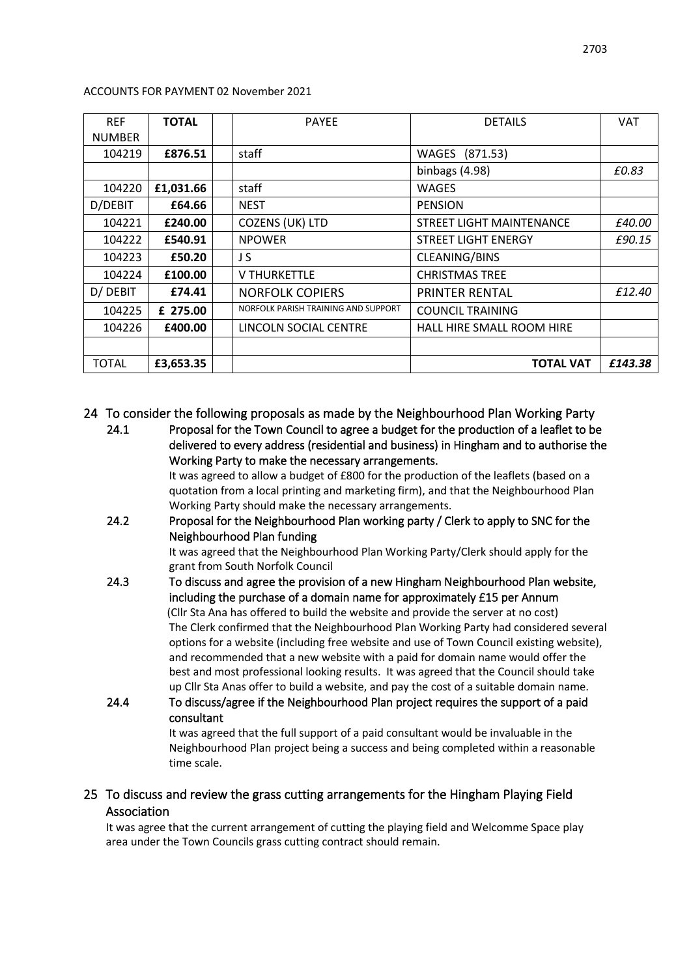| <b>REF</b>    | <b>TOTAL</b> | <b>PAYEE</b>                        | <b>DETAILS</b>             | <b>VAT</b> |
|---------------|--------------|-------------------------------------|----------------------------|------------|
| <b>NUMBER</b> |              |                                     |                            |            |
| 104219        | £876.51      | staff                               | WAGES (871.53)             |            |
|               |              |                                     | binbags (4.98)             | £0.83      |
| 104220        | £1,031.66    | staff                               | <b>WAGES</b>               |            |
| D/DEBIT       | £64.66       | <b>NEST</b>                         | <b>PENSION</b>             |            |
| 104221        | £240.00      | <b>COZENS (UK) LTD</b>              | STREET LIGHT MAINTENANCE   | £40.00     |
| 104222        | £540.91      | <b>NPOWER</b>                       | <b>STREET LIGHT ENERGY</b> | £90.15     |
| 104223        | £50.20       | J S                                 | CLEANING/BINS              |            |
| 104224        | £100.00      | <b>V THURKETTLE</b>                 | <b>CHRISTMAS TREE</b>      |            |
| D/ DEBIT      | £74.41       | <b>NORFOLK COPIERS</b>              | <b>PRINTER RENTAL</b>      | £12.40     |
| 104225        | £ 275.00     | NORFOLK PARISH TRAINING AND SUPPORT | <b>COUNCIL TRAINING</b>    |            |
| 104226        | £400.00      | LINCOLN SOCIAL CENTRE               | HALL HIRE SMALL ROOM HIRE  |            |
|               |              |                                     |                            |            |
| TOTAL         | £3,653.35    |                                     | <b>TOTAL VAT</b>           | £143.38    |

ACCOUNTS FOR PAYMENT 02 November 2021

#### 24 To consider the following proposals as made by the Neighbourhood Plan Working Party

24.1 Proposal for the Town Council to agree a budget for the production of a leaflet to be delivered to every address (residential and business) in Hingham and to authorise the Working Party to make the necessary arrangements.

It was agreed to allow a budget of £800 for the production of the leaflets (based on a quotation from a local printing and marketing firm), and that the Neighbourhood Plan Working Party should make the necessary arrangements.

24.2 Proposal for the Neighbourhood Plan working party / Clerk to apply to SNC for the Neighbourhood Plan funding

> It was agreed that the Neighbourhood Plan Working Party/Clerk should apply for the grant from South Norfolk Council

- 24.3 To discuss and agree the provision of a new Hingham Neighbourhood Plan website, including the purchase of a domain name for approximately £15 per Annum (Cllr Sta Ana has offered to build the website and provide the server at no cost) The Clerk confirmed that the Neighbourhood Plan Working Party had considered several options for a website (including free website and use of Town Council existing website), and recommended that a new website with a paid for domain name would offer the best and most professional looking results. It was agreed that the Council should take up Cllr Sta Anas offer to build a website, and pay the cost of a suitable domain name.
- 24.4 To discuss/agree if the Neighbourhood Plan project requires the support of a paid consultant

It was agreed that the full support of a paid consultant would be invaluable in the Neighbourhood Plan project being a success and being completed within a reasonable time scale.

## 25 To discuss and review the grass cutting arrangements for the Hingham Playing Field Association

It was agree that the current arrangement of cutting the playing field and Welcomme Space play area under the Town Councils grass cutting contract should remain.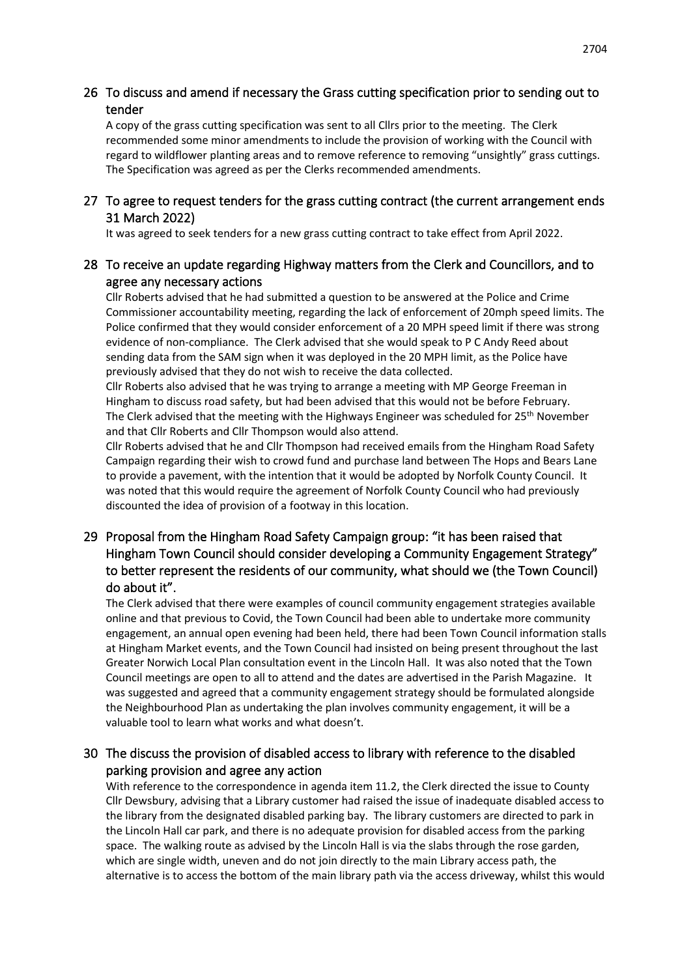## 26 To discuss and amend if necessary the Grass cutting specification prior to sending out to tender

A copy of the grass cutting specification was sent to all Cllrs prior to the meeting. The Clerk recommended some minor amendments to include the provision of working with the Council with regard to wildflower planting areas and to remove reference to removing "unsightly" grass cuttings. The Specification was agreed as per the Clerks recommended amendments.

#### 27 To agree to request tenders for the grass cutting contract (the current arrangement ends 31 March 2022)

It was agreed to seek tenders for a new grass cutting contract to take effect from April 2022.

## 28 To receive an update regarding Highway matters from the Clerk and Councillors, and to agree any necessary actions

Cllr Roberts advised that he had submitted a question to be answered at the Police and Crime Commissioner accountability meeting, regarding the lack of enforcement of 20mph speed limits. The Police confirmed that they would consider enforcement of a 20 MPH speed limit if there was strong evidence of non-compliance. The Clerk advised that she would speak to P C Andy Reed about sending data from the SAM sign when it was deployed in the 20 MPH limit, as the Police have previously advised that they do not wish to receive the data collected.

Cllr Roberts also advised that he was trying to arrange a meeting with MP George Freeman in Hingham to discuss road safety, but had been advised that this would not be before February. The Clerk advised that the meeting with the Highways Engineer was scheduled for  $25<sup>th</sup>$  November and that Cllr Roberts and Cllr Thompson would also attend.

Cllr Roberts advised that he and Cllr Thompson had received emails from the Hingham Road Safety Campaign regarding their wish to crowd fund and purchase land between The Hops and Bears Lane to provide a pavement, with the intention that it would be adopted by Norfolk County Council. It was noted that this would require the agreement of Norfolk County Council who had previously discounted the idea of provision of a footway in this location.

## 29 Proposal from the Hingham Road Safety Campaign group: "it has been raised that Hingham Town Council should consider developing a Community Engagement Strategy" to better represent the residents of our community, what should we (the Town Council) do about it".

The Clerk advised that there were examples of council community engagement strategies available online and that previous to Covid, the Town Council had been able to undertake more community engagement, an annual open evening had been held, there had been Town Council information stalls at Hingham Market events, and the Town Council had insisted on being present throughout the last Greater Norwich Local Plan consultation event in the Lincoln Hall. It was also noted that the Town Council meetings are open to all to attend and the dates are advertised in the Parish Magazine. It was suggested and agreed that a community engagement strategy should be formulated alongside the Neighbourhood Plan as undertaking the plan involves community engagement, it will be a valuable tool to learn what works and what doesn't.

## 30 The discuss the provision of disabled access to library with reference to the disabled parking provision and agree any action

With reference to the correspondence in agenda item 11.2, the Clerk directed the issue to County Cllr Dewsbury, advising that a Library customer had raised the issue of inadequate disabled access to the library from the designated disabled parking bay. The library customers are directed to park in the Lincoln Hall car park, and there is no adequate provision for disabled access from the parking space. The walking route as advised by the Lincoln Hall is via the slabs through the rose garden, which are single width, uneven and do not join directly to the main Library access path, the alternative is to access the bottom of the main library path via the access driveway, whilst this would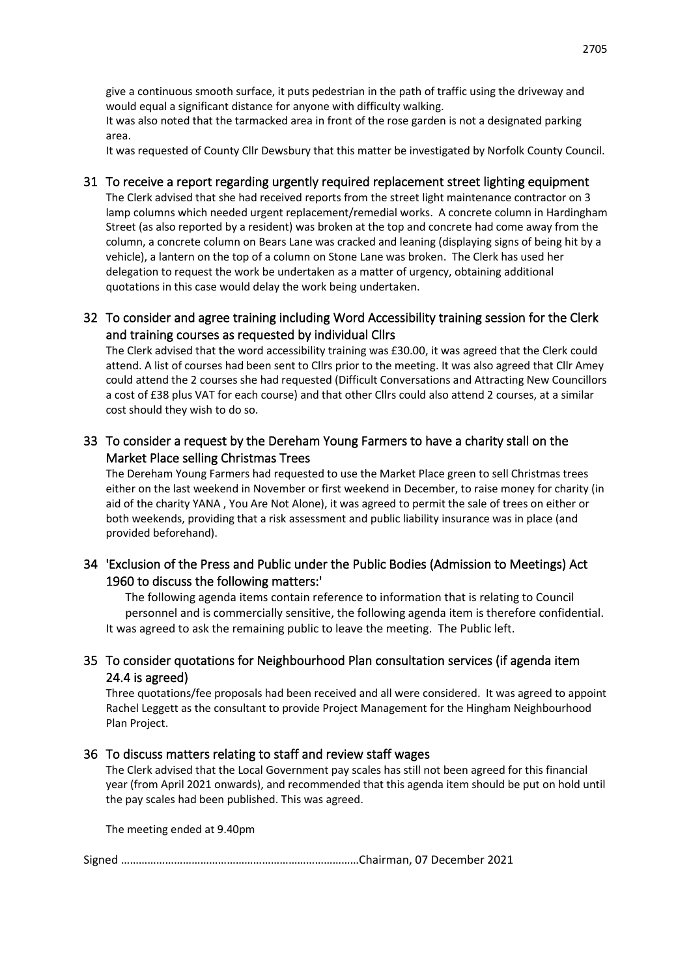give a continuous smooth surface, it puts pedestrian in the path of traffic using the driveway and would equal a significant distance for anyone with difficulty walking.

It was also noted that the tarmacked area in front of the rose garden is not a designated parking area.

It was requested of County Cllr Dewsbury that this matter be investigated by Norfolk County Council.

#### 31 To receive a report regarding urgently required replacement street lighting equipment

The Clerk advised that she had received reports from the street light maintenance contractor on 3 lamp columns which needed urgent replacement/remedial works. A concrete column in Hardingham Street (as also reported by a resident) was broken at the top and concrete had come away from the column, a concrete column on Bears Lane was cracked and leaning (displaying signs of being hit by a vehicle), a lantern on the top of a column on Stone Lane was broken. The Clerk has used her delegation to request the work be undertaken as a matter of urgency, obtaining additional quotations in this case would delay the work being undertaken.

## 32 To consider and agree training including Word Accessibility training session for the Clerk and training courses as requested by individual Cllrs

The Clerk advised that the word accessibility training was £30.00, it was agreed that the Clerk could attend. A list of courses had been sent to Cllrs prior to the meeting. It was also agreed that Cllr Amey could attend the 2 courses she had requested (Difficult Conversations and Attracting New Councillors a cost of £38 plus VAT for each course) and that other Cllrs could also attend 2 courses, at a similar cost should they wish to do so.

## 33 To consider a request by the Dereham Young Farmers to have a charity stall on the Market Place selling Christmas Trees

The Dereham Young Farmers had requested to use the Market Place green to sell Christmas trees either on the last weekend in November or first weekend in December, to raise money for charity (in aid of the charity YANA , You Are Not Alone), it was agreed to permit the sale of trees on either or both weekends, providing that a risk assessment and public liability insurance was in place (and provided beforehand).

## 34 'Exclusion of the Press and Public under the Public Bodies (Admission to Meetings) Act 1960 to discuss the following matters:'

The following agenda items contain reference to information that is relating to Council personnel and is commercially sensitive, the following agenda item is therefore confidential. It was agreed to ask the remaining public to leave the meeting. The Public left.

## 35 To consider quotations for Neighbourhood Plan consultation services (if agenda item 24.4 is agreed)

Three quotations/fee proposals had been received and all were considered. It was agreed to appoint Rachel Leggett as the consultant to provide Project Management for the Hingham Neighbourhood Plan Project.

#### 36 To discuss matters relating to staff and review staff wages

The Clerk advised that the Local Government pay scales has still not been agreed for this financial year (from April 2021 onwards), and recommended that this agenda item should be put on hold until the pay scales had been published. This was agreed.

The meeting ended at 9.40pm

Signed ………………………………………………………………………Chairman, 07 December 2021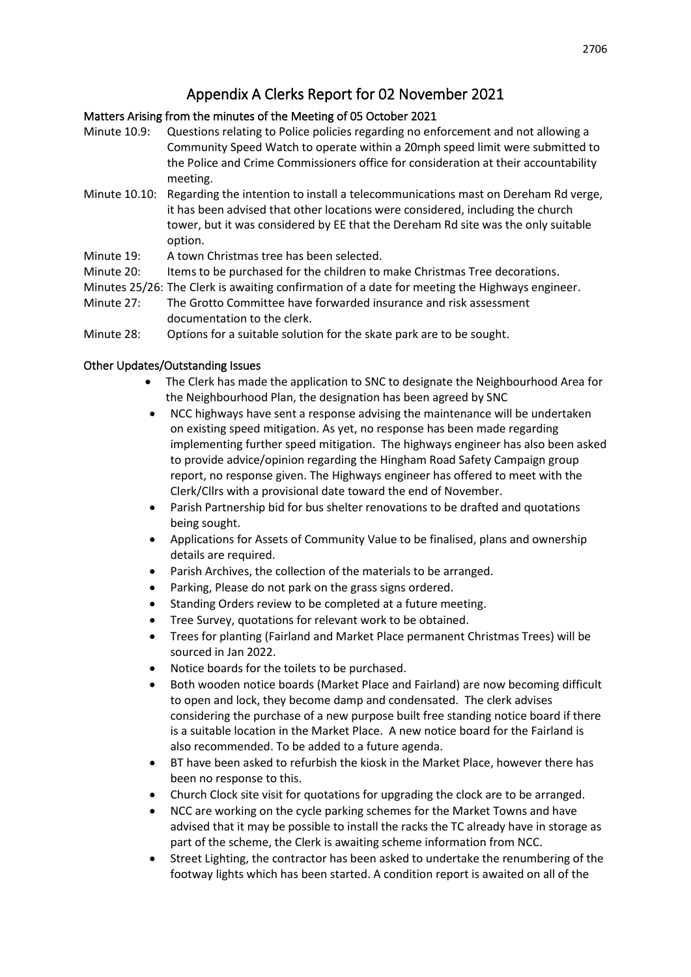# Appendix A Clerks Report for 02 November 2021

## Matters Arising from the minutes of the Meeting of 05 October 2021

- Minute 10.9: Questions relating to Police policies regarding no enforcement and not allowing a Community Speed Watch to operate within a 20mph speed limit were submitted to the Police and Crime Commissioners office for consideration at their accountability meeting.
- Minute 10.10: Regarding the intention to install a telecommunications mast on Dereham Rd verge, it has been advised that other locations were considered, including the church tower, but it was considered by EE that the Dereham Rd site was the only suitable option.
- Minute 19: A town Christmas tree has been selected.
- Minute 20: Items to be purchased for the children to make Christmas Tree decorations.
- Minutes 25/26: The Clerk is awaiting confirmation of a date for meeting the Highways engineer.
- Minute 27: The Grotto Committee have forwarded insurance and risk assessment documentation to the clerk.
- Minute 28: Options for a suitable solution for the skate park are to be sought.

## Other Updates/Outstanding Issues

- The Clerk has made the application to SNC to designate the Neighbourhood Area for the Neighbourhood Plan, the designation has been agreed by SNC
- NCC highways have sent a response advising the maintenance will be undertaken on existing speed mitigation. As yet, no response has been made regarding implementing further speed mitigation. The highways engineer has also been asked to provide advice/opinion regarding the Hingham Road Safety Campaign group report, no response given. The Highways engineer has offered to meet with the Clerk/Cllrs with a provisional date toward the end of November.
- Parish Partnership bid for bus shelter renovations to be drafted and quotations being sought.
- Applications for Assets of Community Value to be finalised, plans and ownership details are required.
- Parish Archives, the collection of the materials to be arranged.
- Parking, Please do not park on the grass signs ordered.
- Standing Orders review to be completed at a future meeting.
- Tree Survey, quotations for relevant work to be obtained.
- Trees for planting (Fairland and Market Place permanent Christmas Trees) will be sourced in Jan 2022.
- Notice boards for the toilets to be purchased.
- Both wooden notice boards (Market Place and Fairland) are now becoming difficult to open and lock, they become damp and condensated. The clerk advises considering the purchase of a new purpose built free standing notice board if there is a suitable location in the Market Place. A new notice board for the Fairland is also recommended. To be added to a future agenda.
- BT have been asked to refurbish the kiosk in the Market Place, however there has been no response to this.
- Church Clock site visit for quotations for upgrading the clock are to be arranged.
- NCC are working on the cycle parking schemes for the Market Towns and have advised that it may be possible to install the racks the TC already have in storage as part of the scheme, the Clerk is awaiting scheme information from NCC.
- Street Lighting, the contractor has been asked to undertake the renumbering of the footway lights which has been started. A condition report is awaited on all of the